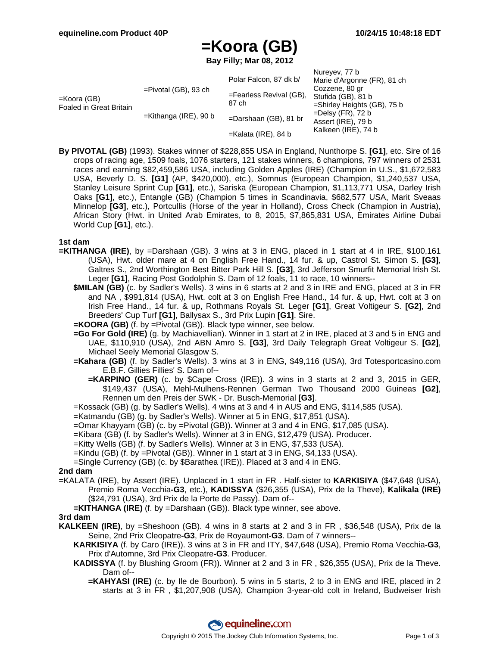$N$ ureyev, 77 b

# **=Koora (GB)**

**Bay Filly; Mar 08, 2012**

|                                        |                          | Polar Falcon, 87 dk b/              | Nuleyev, <i>II</i> D<br>Marie d'Argonne (FR), 81 ch                                                                                         |
|----------------------------------------|--------------------------|-------------------------------------|---------------------------------------------------------------------------------------------------------------------------------------------|
| =Koora (GB)<br>Foaled in Great Britain | $=$ Pivotal (GB), 93 ch  |                                     | Cozzene, 80 gr<br>Stufida (GB), 81 b<br>$=$ Shirley Heights (GB), 75 b<br>$=$ Delsy (FR), 72 b<br>Assert (IRE), 79 b<br>Kalkeen (IRE), 74 b |
|                                        |                          | $=$ Fearless Revival (GB),<br>87 ch |                                                                                                                                             |
|                                        | $=$ Kithanga (IRE), 90 b |                                     |                                                                                                                                             |
|                                        |                          | $=$ Darshaan (GB), 81 br            |                                                                                                                                             |
|                                        |                          | $=$ Kalata (IRE), 84 b              |                                                                                                                                             |

**By PIVOTAL (GB)** (1993). Stakes winner of \$228,855 USA in England, Nunthorpe S. **[G1]**, etc. Sire of 16 crops of racing age, 1509 foals, 1076 starters, 121 stakes winners, 6 champions, 797 winners of 2531 races and earning \$82,459,586 USA, including Golden Apples (IRE) (Champion in U.S., \$1,672,583 USA, Beverly D. S. **[G1]** (AP, \$420,000), etc.), Somnus (European Champion, \$1,240,537 USA, Stanley Leisure Sprint Cup **[G1]**, etc.), Sariska (European Champion, \$1,113,771 USA, Darley Irish Oaks **[G1]**, etc.), Entangle (GB) (Champion 5 times in Scandinavia, \$682,577 USA, Marit Sveaas Minnelop **[G3]**, etc.), Portcullis (Horse of the year in Holland), Cross Check (Champion in Austria), African Story (Hwt. in United Arab Emirates, to 8, 2015, \$7,865,831 USA, Emirates Airline Dubai World Cup **[G1]**, etc.).

#### **1st dam**

- **=KITHANGA (IRE)**, by =Darshaan (GB). 3 wins at 3 in ENG, placed in 1 start at 4 in IRE, \$100,161 (USA), Hwt. older mare at 4 on English Free Hand., 14 fur. & up, Castrol St. Simon S. **[G3]**, Galtres S., 2nd Worthington Best Bitter Park Hill S. **[G3]**, 3rd Jefferson Smurfit Memorial Irish St. Leger **[G1]**, Racing Post Godolphin S. Dam of 12 foals, 11 to race, 10 winners--
	- **\$MILAN (GB)** (c. by Sadler's Wells). 3 wins in 6 starts at 2 and 3 in IRE and ENG, placed at 3 in FR and NA , \$991,814 (USA), Hwt. colt at 3 on English Free Hand., 14 fur. & up, Hwt. colt at 3 on Irish Free Hand., 14 fur. & up, Rothmans Royals St. Leger **[G1]**, Great Voltigeur S. **[G2]**, 2nd Breeders' Cup Turf **[G1]**, Ballysax S., 3rd Prix Lupin **[G1]**. Sire.
	- **=KOORA (GB)** (f. by =Pivotal (GB)). Black type winner, see below.
	- **=Go For Gold (IRE)** (g. by Machiavellian). Winner in 1 start at 2 in IRE, placed at 3 and 5 in ENG and UAE, \$110,910 (USA), 2nd ABN Amro S. **[G3]**, 3rd Daily Telegraph Great Voltigeur S. **[G2]**, Michael Seely Memorial Glasgow S.
	- **=Kahara (GB)** (f. by Sadler's Wells). 3 wins at 3 in ENG, \$49,116 (USA), 3rd Totesportcasino.com E.B.F. Gillies Fillies' S. Dam of--
		- **=KARPINO (GER)** (c. by \$Cape Cross (IRE)). 3 wins in 3 starts at 2 and 3, 2015 in GER, \$149,437 (USA), Mehl-Mulhens-Rennen German Two Thousand 2000 Guineas **[G2]**, Rennen um den Preis der SWK - Dr. Busch-Memorial **[G3]**.
	- =Kossack (GB) (g. by Sadler's Wells). 4 wins at 3 and 4 in AUS and ENG, \$114,585 (USA).
	- =Katmandu (GB) (g. by Sadler's Wells). Winner at 5 in ENG, \$17,851 (USA).
	- =Omar Khayyam (GB) (c. by =Pivotal (GB)). Winner at 3 and 4 in ENG, \$17,085 (USA).
	- =Kibara (GB) (f. by Sadler's Wells). Winner at 3 in ENG, \$12,479 (USA). Producer.
	- =Kitty Wells (GB) (f. by Sadler's Wells). Winner at 3 in ENG, \$7,533 (USA).
	- =Kindu (GB) (f. by =Pivotal (GB)). Winner in 1 start at 3 in ENG, \$4,133 (USA).
	- =Single Currency (GB) (c. by \$Barathea (IRE)). Placed at 3 and 4 in ENG.

#### **2nd dam**

- =KALATA (IRE), by Assert (IRE). Unplaced in 1 start in FR . Half-sister to **KARKISIYA** (\$47,648 (USA), Premio Roma Vecchia**-G3**, etc.), **KADISSYA** (\$26,355 (USA), Prix de la Theve), **Kalikala (IRE)** (\$24,791 (USA), 3rd Prix de la Porte de Passy). Dam of--
	- **=KITHANGA (IRE)** (f. by =Darshaan (GB)). Black type winner, see above.

#### **3rd dam**

- **KALKEEN (IRE)**, by =Sheshoon (GB). 4 wins in 8 starts at 2 and 3 in FR , \$36,548 (USA), Prix de la Seine, 2nd Prix Cleopatre**-G3**, Prix de Royaumont**-G3**. Dam of 7 winners--
	- **KARKISIYA** (f. by Caro (IRE)). 3 wins at 3 in FR and ITY, \$47,648 (USA), Premio Roma Vecchia**-G3**, Prix d'Automne, 3rd Prix Cleopatre**-G3**. Producer.
	- **KADISSYA** (f. by Blushing Groom (FR)). Winner at 2 and 3 in FR , \$26,355 (USA), Prix de la Theve. Dam of--
		- **=KAHYASI (IRE)** (c. by Ile de Bourbon). 5 wins in 5 starts, 2 to 3 in ENG and IRE, placed in 2 starts at 3 in FR , \$1,207,908 (USA), Champion 3-year-old colt in Ireland, Budweiser Irish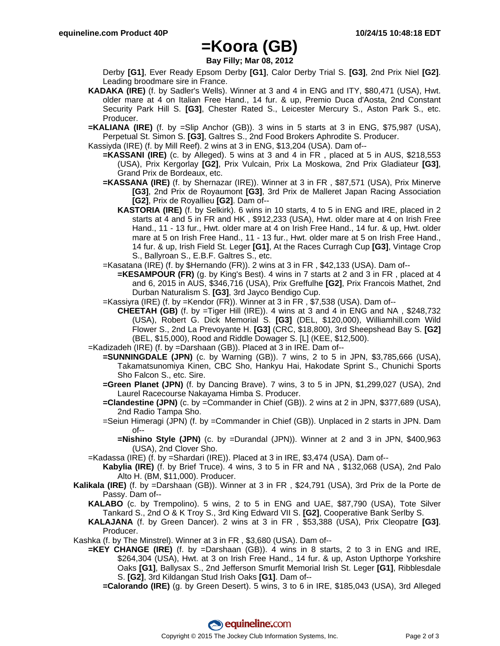## **=Koora (GB)**

**Bay Filly; Mar 08, 2012**

Derby **[G1]**, Ever Ready Epsom Derby **[G1]**, Calor Derby Trial S. **[G3]**, 2nd Prix Niel **[G2]**. Leading broodmare sire in France.

**KADAKA (IRE)** (f. by Sadler's Wells). Winner at 3 and 4 in ENG and ITY, \$80,471 (USA), Hwt. older mare at 4 on Italian Free Hand., 14 fur. & up, Premio Duca d'Aosta, 2nd Constant Security Park Hill S. **[G3]**, Chester Rated S., Leicester Mercury S., Aston Park S., etc. Producer.

**=KALIANA (IRE)** (f. by =Slip Anchor (GB)). 3 wins in 5 starts at 3 in ENG, \$75,987 (USA), Perpetual St. Simon S. **[G3]**, Galtres S., 2nd Food Brokers Aphrodite S. Producer.

- Kassiyda (IRE) (f. by Mill Reef). 2 wins at 3 in ENG, \$13,204 (USA). Dam of--
	- **=KASSANI (IRE)** (c. by Alleged). 5 wins at 3 and 4 in FR , placed at 5 in AUS, \$218,553 (USA), Prix Kergorlay **[G2]**, Prix Vulcain, Prix La Moskowa, 2nd Prix Gladiateur **[G3]**, Grand Prix de Bordeaux, etc.
	- **=KASSANA (IRE)** (f. by Shernazar (IRE)). Winner at 3 in FR , \$87,571 (USA), Prix Minerve **[G3]**, 2nd Prix de Royaumont **[G3]**, 3rd Prix de Malleret Japan Racing Association **[G2]**, Prix de Royallieu **[G2]**. Dam of--
		- **KASTORIA (IRE)** (f. by Selkirk). 6 wins in 10 starts, 4 to 5 in ENG and IRE, placed in 2 starts at 4 and 5 in FR and HK , \$912,233 (USA), Hwt. older mare at 4 on Irish Free Hand., 11 - 13 fur., Hwt. older mare at 4 on Irish Free Hand., 14 fur. & up, Hwt. older mare at 5 on Irish Free Hand., 11 - 13 fur., Hwt. older mare at 5 on Irish Free Hand., 14 fur. & up, Irish Field St. Leger **[G1]**, At the Races Curragh Cup **[G3]**, Vintage Crop S., Ballyroan S., E.B.F. Galtres S., etc.
	- =Kasatana (IRE) (f. by \$Hernando (FR)). 2 wins at 3 in FR , \$42,133 (USA). Dam of--
		- **=KESAMPOUR (FR)** (g. by King's Best). 4 wins in 7 starts at 2 and 3 in FR , placed at 4 and 6, 2015 in AUS, \$346,716 (USA), Prix Greffulhe **[G2]**, Prix Francois Mathet, 2nd Durban Naturalism S. **[G3]**, 3rd Jayco Bendigo Cup.
	- =Kassiyra (IRE) (f. by =Kendor (FR)). Winner at 3 in FR , \$7,538 (USA). Dam of--
	- **CHEETAH (GB)** (f. by =Tiger Hill (IRE)). 4 wins at 3 and 4 in ENG and NA , \$248,732 (USA), Robert G. Dick Memorial S. **[G3]** (DEL, \$120,000), Williamhill.com Wild Flower S., 2nd La Prevoyante H. **[G3]** (CRC, \$18,800), 3rd Sheepshead Bay S. **[G2]** (BEL, \$15,000), Rood and Riddle Dowager S. [L] (KEE, \$12,500).
- =Kadizadeh (IRE) (f. by =Darshaan (GB)). Placed at 3 in IRE. Dam of--
	- **=SUNNINGDALE (JPN)** (c. by Warning (GB)). 7 wins, 2 to 5 in JPN, \$3,785,666 (USA), Takamatsunomiya Kinen, CBC Sho, Hankyu Hai, Hakodate Sprint S., Chunichi Sports Sho Falcon S., etc. Sire.
	- **=Green Planet (JPN)** (f. by Dancing Brave). 7 wins, 3 to 5 in JPN, \$1,299,027 (USA), 2nd Laurel Racecourse Nakayama Himba S. Producer.
	- **=Clandestine (JPN)** (c. by =Commander in Chief (GB)). 2 wins at 2 in JPN, \$377,689 (USA), 2nd Radio Tampa Sho.
	- =Seiun Himeragi (JPN) (f. by =Commander in Chief (GB)). Unplaced in 2 starts in JPN. Dam of--
		- **=Nishino Style (JPN)** (c. by =Durandal (JPN)). Winner at 2 and 3 in JPN, \$400,963 (USA), 2nd Clover Sho.
- =Kadassa (IRE) (f. by =Shardari (IRE)). Placed at 3 in IRE, \$3,474 (USA). Dam of--
	- **Kabylia (IRE)** (f. by Brief Truce). 4 wins, 3 to 5 in FR and NA , \$132,068 (USA), 2nd Palo Alto H. (BM, \$11,000). Producer.
- **Kalikala (IRE)** (f. by =Darshaan (GB)). Winner at 3 in FR , \$24,791 (USA), 3rd Prix de la Porte de Passy. Dam of--
	- **KALABO** (c. by Trempolino). 5 wins, 2 to 5 in ENG and UAE, \$87,790 (USA), Tote Silver Tankard S., 2nd O & K Troy S., 3rd King Edward VII S. **[G2]**, Cooperative Bank Serlby S.
	- **KALAJANA** (f. by Green Dancer). 2 wins at 3 in FR , \$53,388 (USA), Prix Cleopatre **[G3]**. Producer.
- Kashka (f. by The Minstrel). Winner at 3 in FR , \$3,680 (USA). Dam of--
	- **=KEY CHANGE (IRE)** (f. by =Darshaan (GB)). 4 wins in 8 starts, 2 to 3 in ENG and IRE, \$264,304 (USA), Hwt. at 3 on Irish Free Hand., 14 fur. & up, Aston Upthorpe Yorkshire Oaks **[G1]**, Ballysax S., 2nd Jefferson Smurfit Memorial Irish St. Leger **[G1]**, Ribblesdale S. **[G2]**, 3rd Kildangan Stud Irish Oaks **[G1]**. Dam of--
		- **=Calorando (IRE)** (g. by Green Desert). 5 wins, 3 to 6 in IRE, \$185,043 (USA), 3rd Alleged